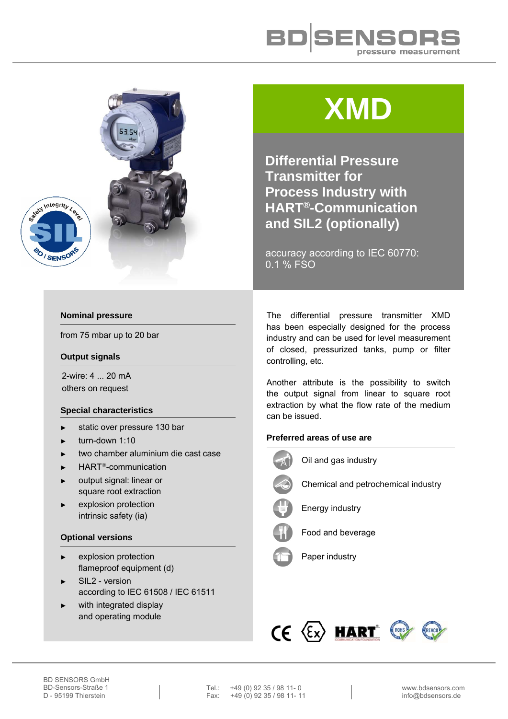



# **XMD**

**Differential Pressure Transmitter for Process Industry with HART®-Communication and SIL2 (optionally)** 

accuracy according to IEC 60770: 0.1 % FSO

## **Nominal pressure**

O / SENSO

from 75 mbar up to 20 bar

#### **Output signals**

2-wire: 4 ... 20 mA others on request

#### **Special characteristics**

- ► static over pressure 130 bar
- turn-down 1:10
- ► two chamber aluminium die cast case
- $\blacktriangleright$  HART<sup>®</sup>-communication
- output signal: linear or square root extraction
- explosion protection intrinsic safety (ia)

#### **Optional versions**

- explosion protection flameproof equipment (d)
- ► SIL2 version according to IEC 61508 / IEC 61511
- with integrated display and operating module

The differential pressure transmitter XMD has been especially designed for the process industry and can be used for level measurement of closed, pressurized tanks, pump or filter controlling, etc.

Another attribute is the possibility to switch the output signal from linear to square root extraction by what the flow rate of the medium can be issued.

### **Preferred areas of use are**



Oil and gas industry



Chemical and petrochemical industry



Energy industry



Food and beverage





Tel.: +49 (0) 92 35 / 98 11-0<br>Fax: +49 (0) 92 35 / 98 11-11  $+49(0)$  92 35 / 98 11- 11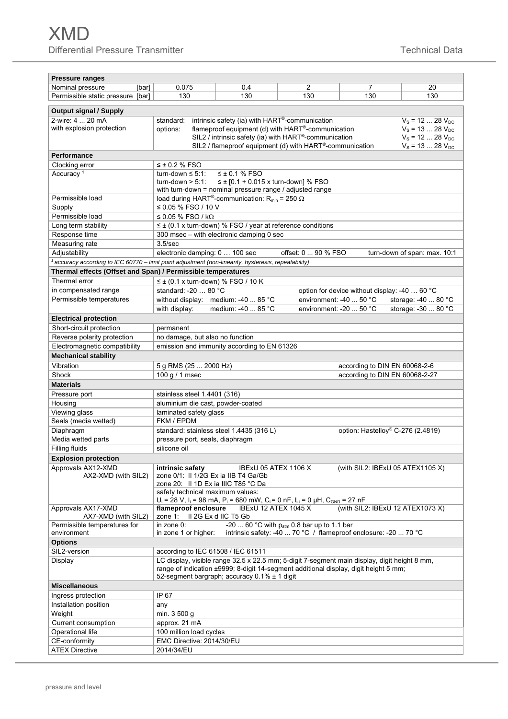| <b>Pressure ranges</b>                                       |                                                                                                                                                                                      |                                                                                                                                       |                         |                                               |                              |  |  |  |  |  |  |  |  |
|--------------------------------------------------------------|--------------------------------------------------------------------------------------------------------------------------------------------------------------------------------------|---------------------------------------------------------------------------------------------------------------------------------------|-------------------------|-----------------------------------------------|------------------------------|--|--|--|--|--|--|--|--|
| Nominal pressure<br>[bar]                                    | 0.075                                                                                                                                                                                | 0.4                                                                                                                                   | $\overline{2}$          | 7                                             | 20                           |  |  |  |  |  |  |  |  |
| Permissible static pressure [bar]                            | 130                                                                                                                                                                                  | 130                                                                                                                                   | 130                     | 130                                           | 130                          |  |  |  |  |  |  |  |  |
|                                                              |                                                                                                                                                                                      |                                                                                                                                       |                         |                                               |                              |  |  |  |  |  |  |  |  |
| <b>Output signal / Supply</b>                                |                                                                                                                                                                                      |                                                                                                                                       |                         |                                               |                              |  |  |  |  |  |  |  |  |
| 2-wire: 4  20 mA                                             | intrinsic safety (ia) with HART®-communication<br>$V_s = 12  28 V_{DC}$<br>standard:                                                                                                 |                                                                                                                                       |                         |                                               |                              |  |  |  |  |  |  |  |  |
| with explosion protection                                    |                                                                                                                                                                                      | flameproof equipment (d) with HART <sup>®</sup> -communication<br>$V_s = 1328 V_{DC}$<br>options:                                     |                         |                                               |                              |  |  |  |  |  |  |  |  |
|                                                              | SIL2 / intrinsic safety (ia) with HART®-communication<br>$V_s = 12$ 28 $V_{DC}$<br>SIL2 / flameproof equipment (d) with HART®-communication<br>$V_s = 1328 V_{DC}$                   |                                                                                                                                       |                         |                                               |                              |  |  |  |  |  |  |  |  |
| <b>Performance</b>                                           |                                                                                                                                                                                      |                                                                                                                                       |                         |                                               |                              |  |  |  |  |  |  |  |  |
|                                                              |                                                                                                                                                                                      |                                                                                                                                       |                         |                                               |                              |  |  |  |  |  |  |  |  |
| Clocking error<br>Accuracy <sup>1</sup>                      | $\leq$ ± 0.2 % FSO<br>$\leq \pm 0.1$ % FSO                                                                                                                                           |                                                                                                                                       |                         |                                               |                              |  |  |  |  |  |  |  |  |
|                                                              | turn-down $\leq 5:1$ :<br>$≤$ ± [0.1 + 0.015 x turn-down] % FSO<br>$turn-down > 5:1$ :                                                                                               |                                                                                                                                       |                         |                                               |                              |  |  |  |  |  |  |  |  |
|                                                              | with turn-down = nominal pressure range / adjusted range                                                                                                                             |                                                                                                                                       |                         |                                               |                              |  |  |  |  |  |  |  |  |
| Permissible load                                             | load during HART®-communication: $R_{min}$ = 250 $\Omega$                                                                                                                            |                                                                                                                                       |                         |                                               |                              |  |  |  |  |  |  |  |  |
| Supply                                                       | ≤ 0.05 % FSO / 10 V                                                                                                                                                                  |                                                                                                                                       |                         |                                               |                              |  |  |  |  |  |  |  |  |
| Permissible load                                             | ≤ 0.05 % FSO / kΩ                                                                                                                                                                    |                                                                                                                                       |                         |                                               |                              |  |  |  |  |  |  |  |  |
| Long term stability                                          |                                                                                                                                                                                      | $\leq \pm$ (0.1 x turn-down) % FSO / year at reference conditions                                                                     |                         |                                               |                              |  |  |  |  |  |  |  |  |
| Response time                                                |                                                                                                                                                                                      | 300 msec - with electronic damping 0 sec                                                                                              |                         |                                               |                              |  |  |  |  |  |  |  |  |
| Measuring rate                                               | 3.5/sec                                                                                                                                                                              |                                                                                                                                       |                         |                                               |                              |  |  |  |  |  |  |  |  |
| Adjustability                                                | electronic damping: 0  100 sec                                                                                                                                                       |                                                                                                                                       | offset: 0  90 % FSO     |                                               | turn-down of span: max. 10:1 |  |  |  |  |  |  |  |  |
|                                                              | $^1$ accuracy according to IEC 60770 - limit point adjustment (non-linearity, hysteresis, repeatability)                                                                             |                                                                                                                                       |                         |                                               |                              |  |  |  |  |  |  |  |  |
| Thermal effects (Offset and Span) / Permissible temperatures |                                                                                                                                                                                      |                                                                                                                                       |                         |                                               |                              |  |  |  |  |  |  |  |  |
| Thermal error                                                | $\leq \pm$ (0.1 x turn-down) % FSO / 10 K                                                                                                                                            |                                                                                                                                       |                         |                                               |                              |  |  |  |  |  |  |  |  |
| in compensated range                                         | standard: -20  80 °C                                                                                                                                                                 |                                                                                                                                       |                         | option for device without display: -40  60 °C |                              |  |  |  |  |  |  |  |  |
| Permissible temperatures                                     | without display: medium: -40  85 °C                                                                                                                                                  |                                                                                                                                       | environment: -40  50 °C |                                               | storage: -40  80 °C          |  |  |  |  |  |  |  |  |
|                                                              | with display:                                                                                                                                                                        | medium: -40  85 °C                                                                                                                    | environment: -20  50 °C |                                               | storage: -30  80 °C          |  |  |  |  |  |  |  |  |
| <b>Electrical protection</b>                                 |                                                                                                                                                                                      |                                                                                                                                       |                         |                                               |                              |  |  |  |  |  |  |  |  |
| Short-circuit protection                                     | permanent                                                                                                                                                                            |                                                                                                                                       |                         |                                               |                              |  |  |  |  |  |  |  |  |
| Reverse polarity protection                                  | no damage, but also no function                                                                                                                                                      |                                                                                                                                       |                         |                                               |                              |  |  |  |  |  |  |  |  |
| Electromagnetic compatibility                                | emission and immunity according to EN 61326                                                                                                                                          |                                                                                                                                       |                         |                                               |                              |  |  |  |  |  |  |  |  |
| <b>Mechanical stability</b>                                  |                                                                                                                                                                                      |                                                                                                                                       |                         |                                               |                              |  |  |  |  |  |  |  |  |
| Vibration                                                    | 5 g RMS (25  2000 Hz)                                                                                                                                                                |                                                                                                                                       |                         | according to DIN EN 60068-2-6                 |                              |  |  |  |  |  |  |  |  |
| Shock                                                        | 100 g / 1 msec                                                                                                                                                                       |                                                                                                                                       |                         | according to DIN EN 60068-2-27                |                              |  |  |  |  |  |  |  |  |
| <b>Materials</b>                                             |                                                                                                                                                                                      |                                                                                                                                       |                         |                                               |                              |  |  |  |  |  |  |  |  |
| Pressure port                                                | stainless steel 1.4401 (316)                                                                                                                                                         |                                                                                                                                       |                         |                                               |                              |  |  |  |  |  |  |  |  |
| Housing                                                      | aluminium die cast, powder-coated                                                                                                                                                    |                                                                                                                                       |                         |                                               |                              |  |  |  |  |  |  |  |  |
| Viewing glass                                                | laminated safety glass                                                                                                                                                               |                                                                                                                                       |                         |                                               |                              |  |  |  |  |  |  |  |  |
| Seals (media wetted)                                         | FKM / EPDM                                                                                                                                                                           |                                                                                                                                       |                         |                                               |                              |  |  |  |  |  |  |  |  |
| Diaphragm                                                    |                                                                                                                                                                                      | standard: stainless steel 1.4435 (316 L)                                                                                              |                         | option: Hastelloy® C-276 (2.4819)             |                              |  |  |  |  |  |  |  |  |
| Media wetted parts                                           | pressure port, seals, diaphragm                                                                                                                                                      |                                                                                                                                       |                         |                                               |                              |  |  |  |  |  |  |  |  |
| Filling fluids                                               | silicone oil                                                                                                                                                                         |                                                                                                                                       |                         |                                               |                              |  |  |  |  |  |  |  |  |
| <b>Explosion protection</b>                                  |                                                                                                                                                                                      |                                                                                                                                       |                         |                                               |                              |  |  |  |  |  |  |  |  |
| Approvals AX12-XMD                                           | intrinsic safety                                                                                                                                                                     | IBExU 05 ATEX 1106 X                                                                                                                  |                         | (with SIL2: IBExU 05 ATEX1105 X)              |                              |  |  |  |  |  |  |  |  |
| AX2-XMD (with SIL2)                                          | zone 0/1: II 1/2G Ex ia IIB T4 Ga/Gb                                                                                                                                                 |                                                                                                                                       |                         |                                               |                              |  |  |  |  |  |  |  |  |
|                                                              | zone 20: Il 1D Ex ia IIIC T85 °C Da                                                                                                                                                  |                                                                                                                                       |                         |                                               |                              |  |  |  |  |  |  |  |  |
|                                                              | safety technical maximum values:                                                                                                                                                     |                                                                                                                                       |                         |                                               |                              |  |  |  |  |  |  |  |  |
|                                                              |                                                                                                                                                                                      | $U_i$ = 28 V, I <sub>i</sub> = 98 mA, P <sub>i</sub> = 680 mW, C <sub>i</sub> = 0 nF, L <sub>i</sub> = 0 µH, C <sub>GND</sub> = 27 nF |                         |                                               |                              |  |  |  |  |  |  |  |  |
| Approvals AX17-XMD                                           | IBExU 12 ATEX 1045 X<br>flameproof enclosure<br>(with SIL2: IBExU 12 ATEX1073 X)<br>zone 1: Il 2G Ex d IIC T5 Gb                                                                     |                                                                                                                                       |                         |                                               |                              |  |  |  |  |  |  |  |  |
| AX7-XMD (with SIL2)<br>Permissible temperatures for          |                                                                                                                                                                                      |                                                                                                                                       |                         |                                               |                              |  |  |  |  |  |  |  |  |
| environment                                                  | in zone 0:<br>-20  60 °C with $p_{atm}$ 0.8 bar up to 1.1 bar<br>intrinsic safety: -40  70 °C / flameproof enclosure: -20  70 °C<br>in zone 1 or higher:                             |                                                                                                                                       |                         |                                               |                              |  |  |  |  |  |  |  |  |
| <b>Options</b>                                               |                                                                                                                                                                                      |                                                                                                                                       |                         |                                               |                              |  |  |  |  |  |  |  |  |
| SIL2-version                                                 | according to IEC 61508 / IEC 61511                                                                                                                                                   |                                                                                                                                       |                         |                                               |                              |  |  |  |  |  |  |  |  |
| Display                                                      |                                                                                                                                                                                      |                                                                                                                                       |                         |                                               |                              |  |  |  |  |  |  |  |  |
|                                                              | LC display, visible range 32.5 x 22.5 mm; 5-digit 7-segment main display, digit height 8 mm,<br>range of indication ±9999; 8-digit 14-segment additional display, digit height 5 mm; |                                                                                                                                       |                         |                                               |                              |  |  |  |  |  |  |  |  |
|                                                              |                                                                                                                                                                                      | 52-segment bargraph; accuracy $0.1\% \pm 1$ digit                                                                                     |                         |                                               |                              |  |  |  |  |  |  |  |  |
| <b>Miscellaneous</b>                                         |                                                                                                                                                                                      |                                                                                                                                       |                         |                                               |                              |  |  |  |  |  |  |  |  |
| Ingress protection                                           | IP 67                                                                                                                                                                                |                                                                                                                                       |                         |                                               |                              |  |  |  |  |  |  |  |  |
| Installation position                                        | any                                                                                                                                                                                  |                                                                                                                                       |                         |                                               |                              |  |  |  |  |  |  |  |  |
| Weight                                                       | min. 3 500 g                                                                                                                                                                         |                                                                                                                                       |                         |                                               |                              |  |  |  |  |  |  |  |  |
| Current consumption                                          | approx. 21 mA                                                                                                                                                                        |                                                                                                                                       |                         |                                               |                              |  |  |  |  |  |  |  |  |
| Operational life                                             | 100 million load cycles                                                                                                                                                              |                                                                                                                                       |                         |                                               |                              |  |  |  |  |  |  |  |  |
| CE-conformity                                                | EMC Directive: 2014/30/EU                                                                                                                                                            |                                                                                                                                       |                         |                                               |                              |  |  |  |  |  |  |  |  |
| <b>ATEX Directive</b>                                        | 2014/34/EU                                                                                                                                                                           |                                                                                                                                       |                         |                                               |                              |  |  |  |  |  |  |  |  |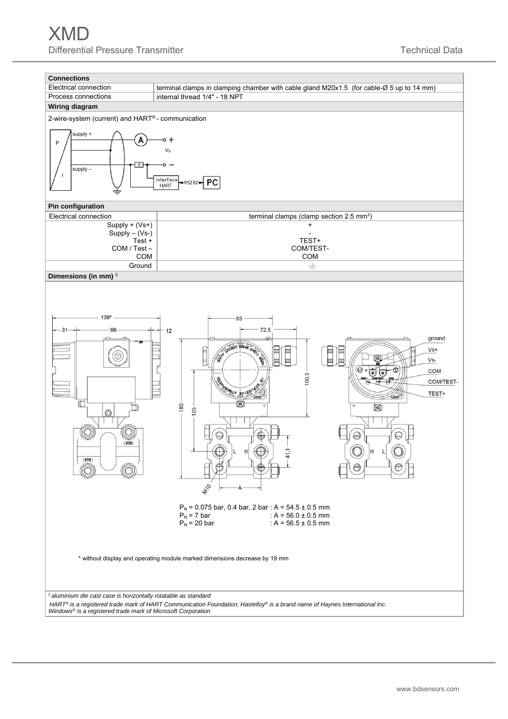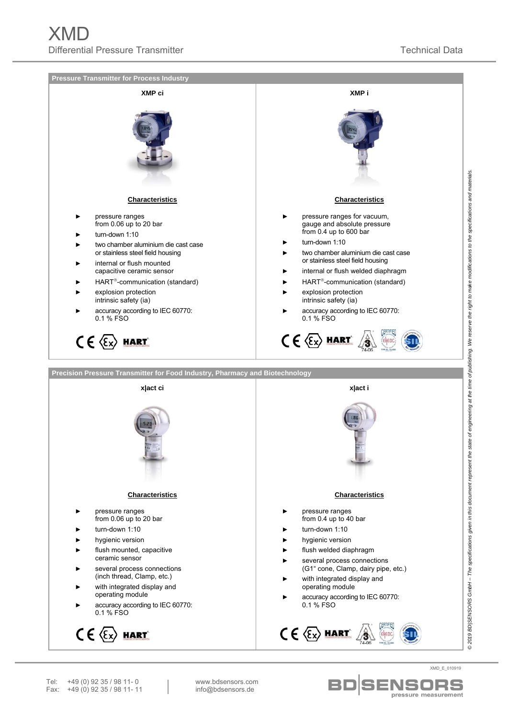



**SENSORS** pressure measurement